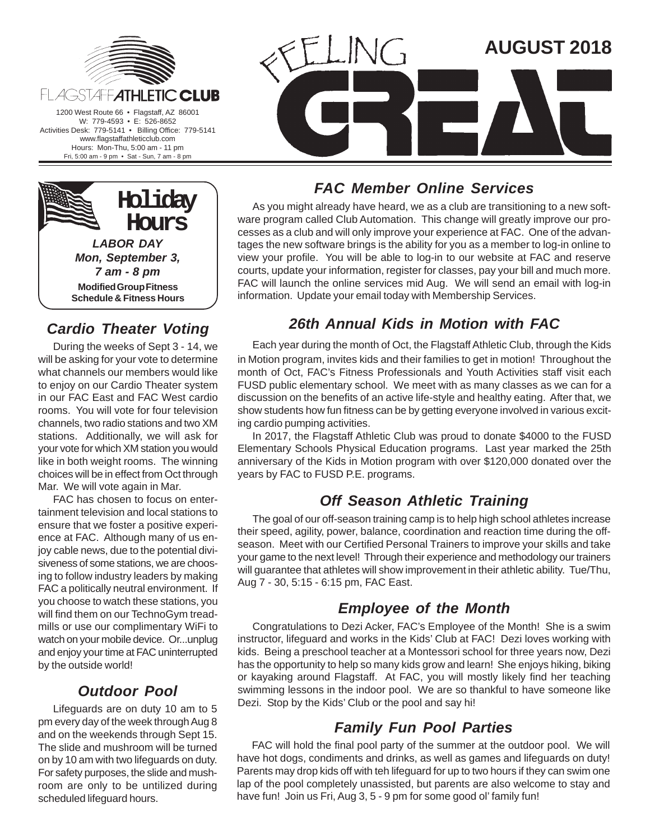





## **Cardio Theater Voting**

During the weeks of Sept 3 - 14, we will be asking for your vote to determine what channels our members would like to enjoy on our Cardio Theater system in our FAC East and FAC West cardio rooms. You will vote for four television channels, two radio stations and two XM stations. Additionally, we will ask for your vote for which XM station you would like in both weight rooms. The winning choices will be in effect from Oct through Mar. We will vote again in Mar.

FAC has chosen to focus on entertainment television and local stations to ensure that we foster a positive experience at FAC. Although many of us enjoy cable news, due to the potential divisiveness of some stations, we are choosing to follow industry leaders by making FAC a politically neutral environment. If you choose to watch these stations, you will find them on our TechnoGym treadmills or use our complimentary WiFi to watch on your mobile device. Or...unplug and enjoy your time at FAC uninterrupted by the outside world!

#### **Outdoor Pool**

Lifeguards are on duty 10 am to 5 pm every day of the week through Aug 8 and on the weekends through Sept 15. The slide and mushroom will be turned on by 10 am with two lifeguards on duty. For safety purposes, the slide and mushroom are only to be untilized during scheduled lifeguard hours.

#### **FAC Member Online Services**

As you might already have heard, we as a club are transitioning to a new software program called Club Automation. This change will greatly improve our processes as a club and will only improve your experience at FAC. One of the advantages the new software brings is the ability for you as a member to log-in online to view your profile. You will be able to log-in to our website at FAC and reserve courts, update your information, register for classes, pay your bill and much more. FAC will launch the online services mid Aug. We will send an email with log-in information. Update your email today with Membership Services.

#### **26th Annual Kids in Motion with FAC**

Each year during the month of Oct, the Flagstaff Athletic Club, through the Kids in Motion program, invites kids and their families to get in motion! Throughout the month of Oct, FAC's Fitness Professionals and Youth Activities staff visit each FUSD public elementary school. We meet with as many classes as we can for a discussion on the benefits of an active life-style and healthy eating. After that, we show students how fun fitness can be by getting everyone involved in various exciting cardio pumping activities.

In 2017, the Flagstaff Athletic Club was proud to donate \$4000 to the FUSD Elementary Schools Physical Education programs. Last year marked the 25th anniversary of the Kids in Motion program with over \$120,000 donated over the years by FAC to FUSD P.E. programs.

#### **Off Season Athletic Training**

The goal of our off-season training camp is to help high school athletes increase their speed, agility, power, balance, coordination and reaction time during the offseason. Meet with our Certified Personal Trainers to improve your skills and take your game to the next level! Through their experience and methodology our trainers will guarantee that athletes will show improvement in their athletic ability. Tue/Thu, Aug 7 - 30, 5:15 - 6:15 pm, FAC East.

#### **Employee of the Month**

Congratulations to Dezi Acker, FAC's Employee of the Month! She is a swim instructor, lifeguard and works in the Kids' Club at FAC! Dezi loves working with kids. Being a preschool teacher at a Montessori school for three years now, Dezi has the opportunity to help so many kids grow and learn! She enjoys hiking, biking or kayaking around Flagstaff. At FAC, you will mostly likely find her teaching swimming lessons in the indoor pool. We are so thankful to have someone like Dezi. Stop by the Kids' Club or the pool and say hi!

#### **Family Fun Pool Parties**

FAC will hold the final pool party of the summer at the outdoor pool. We will have hot dogs, condiments and drinks, as well as games and lifeguards on duty! Parents may drop kids off with teh lifeguard for up to two hours if they can swim one lap of the pool completely unassisted, but parents are also welcome to stay and have fun! Join us Fri, Aug 3, 5 - 9 pm for some good ol' family fun!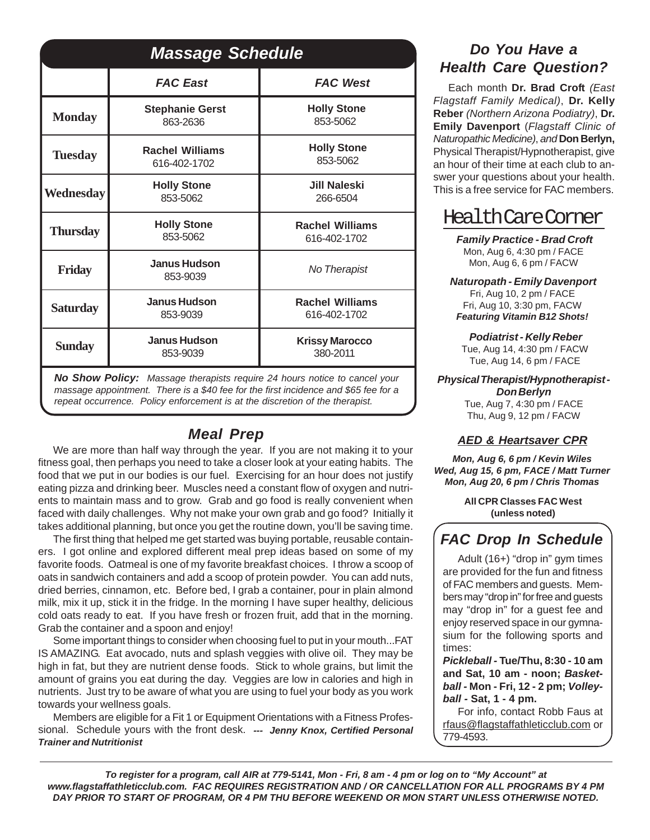| <b>Massage Schedule</b>                                                                                                                                                                                                                          |                                        |                                        |  |  |  |  |
|--------------------------------------------------------------------------------------------------------------------------------------------------------------------------------------------------------------------------------------------------|----------------------------------------|----------------------------------------|--|--|--|--|
|                                                                                                                                                                                                                                                  | <b>FAC East</b>                        | <b>FAC West</b>                        |  |  |  |  |
| <b>Monday</b>                                                                                                                                                                                                                                    | <b>Stephanie Gerst</b><br>863-2636     | <b>Holly Stone</b><br>853-5062         |  |  |  |  |
| <b>Tuesday</b>                                                                                                                                                                                                                                   | <b>Rachel Williams</b><br>616-402-1702 | <b>Holly Stone</b><br>853-5062         |  |  |  |  |
| Wednesday                                                                                                                                                                                                                                        | <b>Holly Stone</b><br>853-5062         | <b>Jill Naleski</b><br>266-6504        |  |  |  |  |
| <b>Thursday</b>                                                                                                                                                                                                                                  | <b>Holly Stone</b><br>853-5062         | <b>Rachel Williams</b><br>616-402-1702 |  |  |  |  |
| Friday                                                                                                                                                                                                                                           | <b>Janus Hudson</b><br>853-9039        | No Therapist                           |  |  |  |  |
| <b>Saturday</b>                                                                                                                                                                                                                                  | <b>Janus Hudson</b><br>853-9039        | <b>Rachel Williams</b><br>616-402-1702 |  |  |  |  |
| <b>Sunday</b>                                                                                                                                                                                                                                    | <b>Janus Hudson</b><br>853-9039        | <b>Krissy Marocco</b><br>380-2011      |  |  |  |  |
| No Show Policy: Massage therapists require 24 hours notice to cancel your<br>massage appointment. There is a \$40 fee for the first incidence and \$65 fee for a<br>repeat occurrence. Policy enforcement is at the discretion of the therapist. |                                        |                                        |  |  |  |  |

## **Meal Prep**

We are more than half way through the year. If you are not making it to your fitness goal, then perhaps you need to take a closer look at your eating habits. The food that we put in our bodies is our fuel. Exercising for an hour does not justify eating pizza and drinking beer. Muscles need a constant flow of oxygen and nutrients to maintain mass and to grow. Grab and go food is really convenient when faced with daily challenges. Why not make your own grab and go food? Initially it takes additional planning, but once you get the routine down, you'll be saving time.

The first thing that helped me get started was buying portable, reusable containers. I got online and explored different meal prep ideas based on some of my favorite foods. Oatmeal is one of my favorite breakfast choices. I throw a scoop of oats in sandwich containers and add a scoop of protein powder. You can add nuts, dried berries, cinnamon, etc. Before bed, I grab a container, pour in plain almond milk, mix it up, stick it in the fridge. In the morning I have super healthy, delicious cold oats ready to eat. If you have fresh or frozen fruit, add that in the morning. Grab the container and a spoon and enjoy!

Some important things to consider when choosing fuel to put in your mouth...FAT IS AMAZING. Eat avocado, nuts and splash veggies with olive oil. They may be high in fat, but they are nutrient dense foods. Stick to whole grains, but limit the amount of grains you eat during the day. Veggies are low in calories and high in nutrients. Just try to be aware of what you are using to fuel your body as you work towards your wellness goals.

Members are eligible for a Fit 1 or Equipment Orientations with a Fitness Professional. Schedule yours with the front desk. **--- Jenny Knox, Certified Personal Trainer and Nutritionist**

### **Do You Have a Health Care Question?**

Each month **Dr. Brad Croft** (East Flagstaff Family Medical), **Dr. Kelly Reber** (Northern Arizona Podiatry), **Dr. Emily Davenport** (Flagstaff Clinic of Naturopathic Medicine), and **Don Berlyn,** Physical Therapist/Hypnotherapist, give an hour of their time at each club to answer your questions about your health. This is a free service for FAC members.

# Health Care Corner

 **Family Practice - Brad Croft** Mon, Aug 6, 4:30 pm / FACE Mon, Aug 6, 6 pm / FACW

**Naturopath - Emily Davenport**

Fri, Aug 10, 2 pm / FACE Fri, Aug 10, 3:30 pm, FACW **Featuring Vitamin B12 Shots!**

**Podiatrist - Kelly Reber** Tue, Aug 14, 4:30 pm / FACW Tue, Aug 14, 6 pm / FACE

**Physical Therapist/Hypnotherapist - Don Berlyn**

Tue, Aug 7, 4:30 pm / FACE Thu, Aug 9, 12 pm / FACW

## **AED & Heartsaver CPR**

**Mon, Aug 6, 6 pm / Kevin Wiles Wed, Aug 15, 6 pm, FACE / Matt Turner Mon, Aug 20, 6 pm / Chris Thomas**

> **All CPR Classes FAC West (unless noted)**

# **FAC Drop In Schedule**

Adult (16+) "drop in" gym times are provided for the fun and fitness of FAC members and guests. Members may "drop in" for free and guests may "drop in" for a guest fee and enjoy reserved space in our gymnasium for the following sports and times:

**Pickleball - Tue/Thu, 8:30 - 10 am and Sat, 10 am - noon; Basketball - Mon - Fri, 12 - 2 pm; Volleyball - Sat, 1 - 4 pm.**

For info, contact Robb Faus at rfaus@flagstaffathleticclub.com or 779-4593.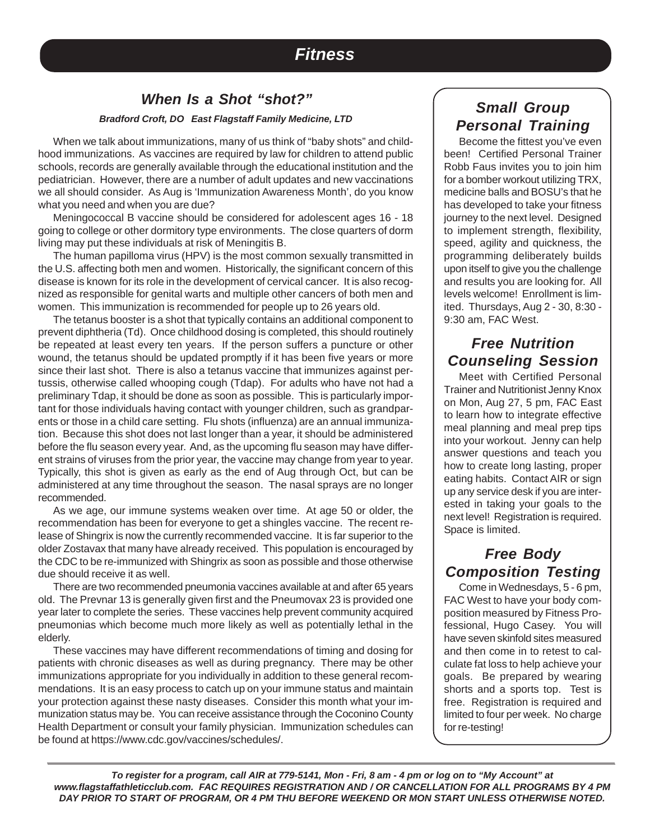## **Fitness**

#### **When Is a Shot "shot?"**

#### **Bradford Croft, DO East Flagstaff Family Medicine, LTD**

When we talk about immunizations, many of us think of "baby shots" and childhood immunizations. As vaccines are required by law for children to attend public schools, records are generally available through the educational institution and the pediatrician. However, there are a number of adult updates and new vaccinations we all should consider. As Aug is 'Immunization Awareness Month', do you know what you need and when you are due?

Meningococcal B vaccine should be considered for adolescent ages 16 - 18 going to college or other dormitory type environments. The close quarters of dorm living may put these individuals at risk of Meningitis B.

The human papilloma virus (HPV) is the most common sexually transmitted in the U.S. affecting both men and women. Historically, the significant concern of this disease is known for its role in the development of cervical cancer. It is also recognized as responsible for genital warts and multiple other cancers of both men and women. This immunization is recommended for people up to 26 years old.

The tetanus booster is a shot that typically contains an additional component to prevent diphtheria (Td). Once childhood dosing is completed, this should routinely be repeated at least every ten years. If the person suffers a puncture or other wound, the tetanus should be updated promptly if it has been five years or more since their last shot. There is also a tetanus vaccine that immunizes against pertussis, otherwise called whooping cough (Tdap). For adults who have not had a preliminary Tdap, it should be done as soon as possible. This is particularly important for those individuals having contact with younger children, such as grandparents or those in a child care setting. Flu shots (influenza) are an annual immunization. Because this shot does not last longer than a year, it should be administered before the flu season every year. And, as the upcoming flu season may have different strains of viruses from the prior year, the vaccine may change from year to year. Typically, this shot is given as early as the end of Aug through Oct, but can be administered at any time throughout the season. The nasal sprays are no longer recommended.

As we age, our immune systems weaken over time. At age 50 or older, the recommendation has been for everyone to get a shingles vaccine. The recent release of Shingrix is now the currently recommended vaccine. It is far superior to the older Zostavax that many have already received. This population is encouraged by the CDC to be re-immunized with Shingrix as soon as possible and those otherwise due should receive it as well.

There are two recommended pneumonia vaccines available at and after 65 years old. The Prevnar 13 is generally given first and the Pneumovax 23 is provided one year later to complete the series. These vaccines help prevent community acquired pneumonias which become much more likely as well as potentially lethal in the elderly.

These vaccines may have different recommendations of timing and dosing for patients with chronic diseases as well as during pregnancy. There may be other immunizations appropriate for you individually in addition to these general recommendations. It is an easy process to catch up on your immune status and maintain your protection against these nasty diseases. Consider this month what your immunization status may be. You can receive assistance through the Coconino County Health Department or consult your family physician. Immunization schedules can be found at https://www.cdc.gov/vaccines/schedules/.

### **Small Group Personal Training**

Become the fittest you've even been! Certified Personal Trainer Robb Faus invites you to join him for a bomber workout utilizing TRX, medicine balls and BOSU's that he has developed to take your fitness journey to the next level. Designed to implement strength, flexibility, speed, agility and quickness, the programming deliberately builds upon itself to give you the challenge and results you are looking for. All levels welcome! Enrollment is limited. Thursdays, Aug 2 - 30, 8:30 - 9:30 am, FAC West.

#### **Free Nutrition Counseling Session**

Meet with Certified Personal Trainer and Nutritionist Jenny Knox on Mon, Aug 27, 5 pm, FAC East to learn how to integrate effective meal planning and meal prep tips into your workout. Jenny can help answer questions and teach you how to create long lasting, proper eating habits. Contact AIR or sign up any service desk if you are interested in taking your goals to the next level! Registration is required. Space is limited.

#### **Free Body Composition Testing**

Come in Wednesdays, 5 - 6 pm, FAC West to have your body composition measured by Fitness Professional, Hugo Casey. You will have seven skinfold sites measured and then come in to retest to calculate fat loss to help achieve your goals. Be prepared by wearing shorts and a sports top. Test is free. Registration is required and limited to four per week. No charge for re-testing!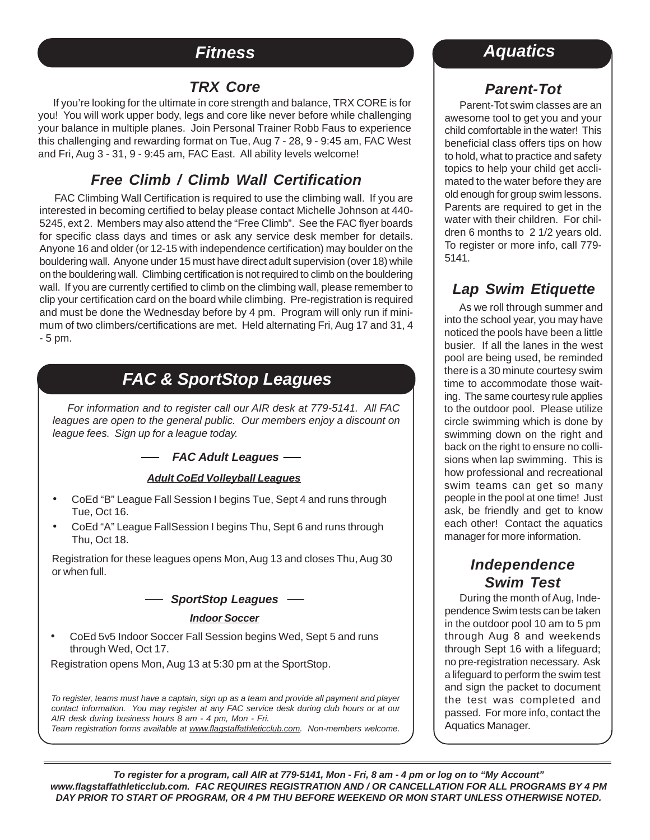## **Fitness**

#### **TRX Core**

If you're looking for the ultimate in core strength and balance, TRX CORE is for you! You will work upper body, legs and core like never before while challenging your balance in multiple planes. Join Personal Trainer Robb Faus to experience this challenging and rewarding format on Tue, Aug 7 - 28, 9 - 9:45 am, FAC West and Fri, Aug 3 - 31, 9 - 9:45 am, FAC East. All ability levels welcome!

#### **Free Climb / Climb Wall Certification**

FAC Climbing Wall Certification is required to use the climbing wall. If you are interested in becoming certified to belay please contact Michelle Johnson at 440- 5245, ext 2. Members may also attend the "Free Climb". See the FAC flyer boards for specific class days and times or ask any service desk member for details. Anyone 16 and older (or 12-15 with independence certification) may boulder on the bouldering wall. Anyone under 15 must have direct adult supervision (over 18) while on the bouldering wall. Climbing certification is not required to climb on the bouldering wall. If you are currently certified to climb on the climbing wall, please remember to clip your certification card on the board while climbing. Pre-registration is required and must be done the Wednesday before by 4 pm. Program will only run if minimum of two climbers/certifications are met. Held alternating Fri, Aug 17 and 31, 4 - 5 pm.

# **FAC & SportStop Leagues**

For information and to register call our AIR desk at 779-5141. All FAC leagues are open to the general public. Our members enjoy a discount on league fees. Sign up for a league today.

**FAC Adult Leagues**

#### **Adult CoEd Volleyball Leagues**

- CoEd "B" League Fall Session I begins Tue, Sept 4 and runs through Tue, Oct 16.
- CoEd "A" League FallSession I begins Thu, Sept 6 and runs through Thu, Oct 18.

Registration for these leagues opens Mon, Aug 13 and closes Thu, Aug 30 or when full.

#### **SportStop Leagues**

#### **Indoor Soccer**

• CoEd 5v5 Indoor Soccer Fall Session begins Wed, Sept 5 and runs through Wed, Oct 17.

Registration opens Mon, Aug 13 at 5:30 pm at the SportStop.

To register, teams must have a captain, sign up as a team and provide all payment and player contact information. You may register at any FAC service desk during club hours or at our AIR desk during business hours 8 am - 4 pm, Mon - Fri.

Team registration forms available at www.flagstaffathleticclub.com. Non-members welcome.

## **Aquatics**

## **Parent-Tot**

Parent-Tot swim classes are an awesome tool to get you and your child comfortable in the water! This beneficial class offers tips on how to hold, what to practice and safety topics to help your child get acclimated to the water before they are old enough for group swim lessons. Parents are required to get in the water with their children. For children 6 months to 2 1/2 years old. To register or more info, call 779- 5141.

#### **Lap Swim Etiquette**

As we roll through summer and into the school year, you may have noticed the pools have been a little busier. If all the lanes in the west pool are being used, be reminded there is a 30 minute courtesy swim time to accommodate those waiting. The same courtesy rule applies to the outdoor pool. Please utilize circle swimming which is done by swimming down on the right and back on the right to ensure no collisions when lap swimming. This is how professional and recreational swim teams can get so many people in the pool at one time! Just ask, be friendly and get to know each other! Contact the aquatics manager for more information.

#### **Independence Swim Test**

During the month of Aug, Independence Swim tests can be taken in the outdoor pool 10 am to 5 pm through Aug 8 and weekends through Sept 16 with a lifeguard; no pre-registration necessary. Ask a lifeguard to perform the swim test and sign the packet to document the test was completed and passed. For more info, contact the Aquatics Manager.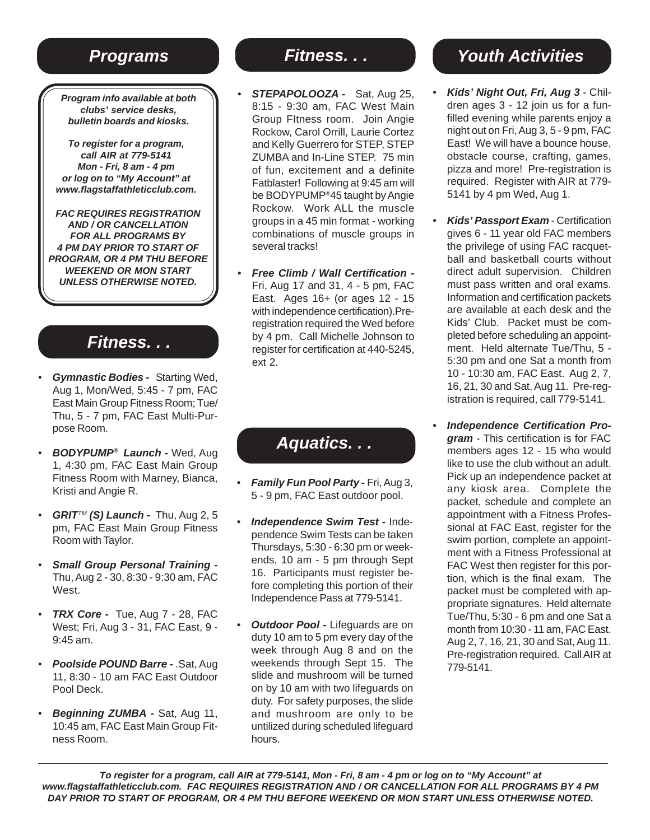**Program info available at both clubs' service desks, bulletin boards and kiosks.**

**To register for a program, call AIR at 779-5141 Mon - Fri, 8 am - 4 pm or log on to "My Account" at www.flagstaffathleticclub.com.**

**FAC REQUIRES REGISTRATION AND / OR CANCELLATION FOR ALL PROGRAMS BY 4 PM DAY PRIOR TO START OF PROGRAM, OR 4 PM THU BEFORE WEEKEND OR MON START UNLESS OTHERWISE NOTED.**

## **Fitness. . .**

- **Gymnastic Bodies -** Starting Wed, Aug 1, Mon/Wed, 5:45 - 7 pm, FAC East Main Group Fitness Room; Tue/ Thu, 5 - 7 pm, FAC East Multi-Purpose Room.
- **BODYPUMP® Launch** Wed, Aug 1, 4:30 pm, FAC East Main Group Fitness Room with Marney, Bianca, Kristi and Angie R.
- *GRIT™* **(S) Launch Thu, Aug 2, 5** pm, FAC East Main Group Fitness Room with Taylor.
- **Small Group Personal Training -** Thu, Aug 2 - 30, 8:30 - 9:30 am, FAC West.
- **TRX Core -** Tue, Aug 7 28, FAC West; Fri, Aug 3 - 31, FAC East, 9 - 9:45 am.
- **Poolside POUND Barre** .Sat, Aug 11, 8:30 - 10 am FAC East Outdoor Pool Deck.
- **Beginning ZUMBA** Sat, Aug 11, 10:45 am, FAC East Main Group Fitness Room.

# **Fitness. . .**

- **STEPAPOLOOZA -** Sat, Aug 25, 8:15 - 9:30 am, FAC West Main Group FItness room. Join Angie Rockow, Carol Orrill, Laurie Cortez and Kelly Guerrero for STEP, STEP ZUMBA and In-Line STEP. 75 min of fun, excitement and a definite Fatblaster! Following at 9:45 am will be BODYPUMP®45 taught by Angie Rockow. Work ALL the muscle groups in a 45 min format - working combinations of muscle groups in several tracks!
- **Free Climb / Wall Certification -** Fri, Aug 17 and 31, 4 - 5 pm, FAC East. Ages 16+ (or ages 12 - 15 with independence certification).Preregistration required the Wed before by 4 pm. Call Michelle Johnson to register for certification at 440-5245, ext 2.

**Aquatics. . .**

- **Family Fun Pool Party** Fri, Aug 3, 5 - 9 pm, FAC East outdoor pool.
- **Independence Swim Test -** Independence Swim Tests can be taken Thursdays, 5:30 - 6:30 pm or weekends, 10 am - 5 pm through Sept 16. Participants must register before completing this portion of their Independence Pass at 779-5141.
- **Outdoor Pool Lifeguards are on** duty 10 am to 5 pm every day of the week through Aug 8 and on the weekends through Sept 15. The slide and mushroom will be turned on by 10 am with two lifeguards on duty. For safety purposes, the slide and mushroom are only to be untilized during scheduled lifeguard hours.

# **Programs** *Programs* **Programs** *Programs Programs Programs Programs Programs Programs Programs Programs Programs Programs Programs Programs Programs Programs Pro*

- **Kids' Night Out, Fri, Aug 3**  Children ages 3 - 12 join us for a funfilled evening while parents enjoy a night out on Fri, Aug 3, 5 - 9 pm, FAC East! We will have a bounce house, obstacle course, crafting, games, pizza and more! Pre-registration is required. Register with AIR at 779- 5141 by 4 pm Wed, Aug 1.
- **Kids' Passport Exam**  Certification gives 6 - 11 year old FAC members the privilege of using FAC racquetball and basketball courts without direct adult supervision. Children must pass written and oral exams. Information and certification packets are available at each desk and the Kids' Club. Packet must be completed before scheduling an appointment. Held alternate Tue/Thu, 5 - 5:30 pm and one Sat a month from 10 - 10:30 am, FAC East. Aug 2, 7, 16, 21, 30 and Sat, Aug 11. Pre-registration is required, call 779-5141.
- **Independence Certification Program** - This certification is for FAC members ages 12 - 15 who would like to use the club without an adult. Pick up an independence packet at any kiosk area. Complete the packet, schedule and complete an appointment with a Fitness Professional at FAC East, register for the swim portion, complete an appointment with a Fitness Professional at FAC West then register for this portion, which is the final exam. The packet must be completed with appropriate signatures. Held alternate Tue/Thu, 5:30 - 6 pm and one Sat a month from 10:30 - 11 am, FAC East. Aug 2, 7, 16, 21, 30 and Sat, Aug 11. Pre-registration required. Call AIR at 779-5141.